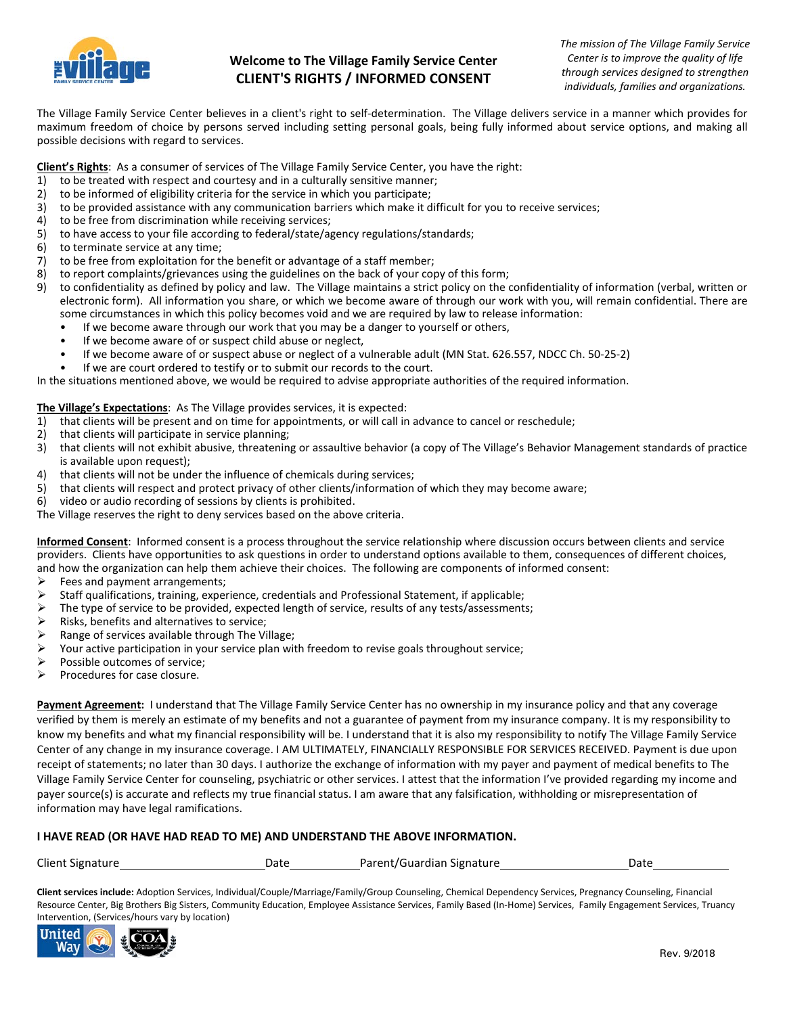

## **Welcome to The Village Family Service Center CLIENT'S RIGHTS / INFORMED CONSENT**

The Village Family Service Center believes in a client's right to self-determination. The Village delivers service in a manner which provides for maximum freedom of choice by persons served including setting personal goals, being fully informed about service options, and making all possible decisions with regard to services.

**Client's Rights**: As a consumer of services of The Village Family Service Center, you have the right:

- 1) to be treated with respect and courtesy and in a culturally sensitive manner;
- 2) to be informed of eligibility criteria for the service in which you participate;
- 3) to be provided assistance with any communication barriers which make it difficult for you to receive services;
- 4) to be free from discrimination while receiving services;
- 5) to have access to your file according to federal/state/agency regulations/standards;
- 6) to terminate service at any time;<br>7) to be free from exploitation for tl
- to be free from exploitation for the benefit or advantage of a staff member;
- 8) to report complaints/grievances using the guidelines on the back of your copy of this form;<br>8) to confidentiality as defined by policy and law. The Village maintains a strict policy on the o
- 9) to confidentiality as defined by policy and law. The Village maintains a strict policy on the confidentiality of information (verbal, written or electronic form). All information you share, or which we become aware of through our work with you, will remain confidential. There are some circumstances in which this policy becomes void and we are required by law to release information:
	- If we become aware through our work that you may be a danger to yourself or others,
	- If we become aware of or suspect child abuse or neglect,
	- If we become aware of or suspect abuse or neglect of a vulnerable adult (MN Stat. 626.557, NDCC Ch. 50-25-2)
	- If we are court ordered to testify or to submit our records to the court.

In the situations mentioned above, we would be required to advise appropriate authorities of the required information.

#### **The Village's Expectations**: As The Village provides services, it is expected:

- 1) that clients will be present and on time for appointments, or will call in advance to cancel or reschedule;
- 2) that clients will participate in service planning;
- 3) that clients will not exhibit abusive, threatening or assaultive behavior (a copy of The Village's Behavior Management standards of practice is available upon request);
- 4) that clients will not be under the influence of chemicals during services;
- 5) that clients will respect and protect privacy of other clients/information of which they may become aware;
- 6) video or audio recording of sessions by clients is prohibited.

The Village reserves the right to deny services based on the above criteria.

**Informed Consent**: Informed consent is a process throughout the service relationship where discussion occurs between clients and service providers. Clients have opportunities to ask questions in order to understand options available to them, consequences of different choices, and how the organization can help them achieve their choices. The following are components of informed consent:

- Fees and payment arrangements;
- 
- Staff qualifications, training, experience, credentials and Professional Statement, if applicable;<br>
> The type of service to be provided, expected length of service, results of any tests/assessments The type of service to be provided, expected length of service, results of any tests/assessments;<br>  $\triangleright$  Risks. benefits and alternatives to service:
- Risks, benefits and alternatives to service;
- $\triangleright$  Range of services available through The Village;
- $\triangleright$  Your active participation in your service plan with freedom to revise goals throughout service;
- $\triangleright$  Possible outcomes of service;
- $\triangleright$  Procedures for case closure.

Payment Agreement: I understand that The Village Family Service Center has no ownership in my insurance policy and that any coverage verified by them is merely an estimate of my benefits and not a guarantee of payment from my insurance company. It is my responsibility to know my benefits and what my financial responsibility will be. I understand that it is also my responsibility to notify The Village Family Service Center of any change in my insurance coverage. I AM ULTIMATELY, FINANCIALLY RESPONSIBLE FOR SERVICES RECEIVED. Payment is due upon receipt of statements; no later than 30 days. I authorize the exchange of information with my payer and payment of medical benefits to The Village Family Service Center for counseling, psychiatric or other services. I attest that the information I've provided regarding my income and payer source(s) is accurate and reflects my true financial status. I am aware that any falsification, withholding or misrepresentation of information may have legal ramifications.

### **I HAVE READ (OR HAVE HAD READ TO ME) AND UNDERSTAND THE ABOVE INFORMATION.**

| <b>Client Signature</b> | Date | Parent/Guardian Signature | Date |
|-------------------------|------|---------------------------|------|
|-------------------------|------|---------------------------|------|

**Client services include:** Adoption Services, Individual/Couple/Marriage/Family/Group Counseling, Chemical Dependency Services, Pregnancy Counseling, Financial Resource Center, Big Brothers Big Sisters, Community Education, Employee Assistance Services, Family Based (In-Home) Services, Family Engagement Services, Truancy Intervention, (Services/hours vary by location)